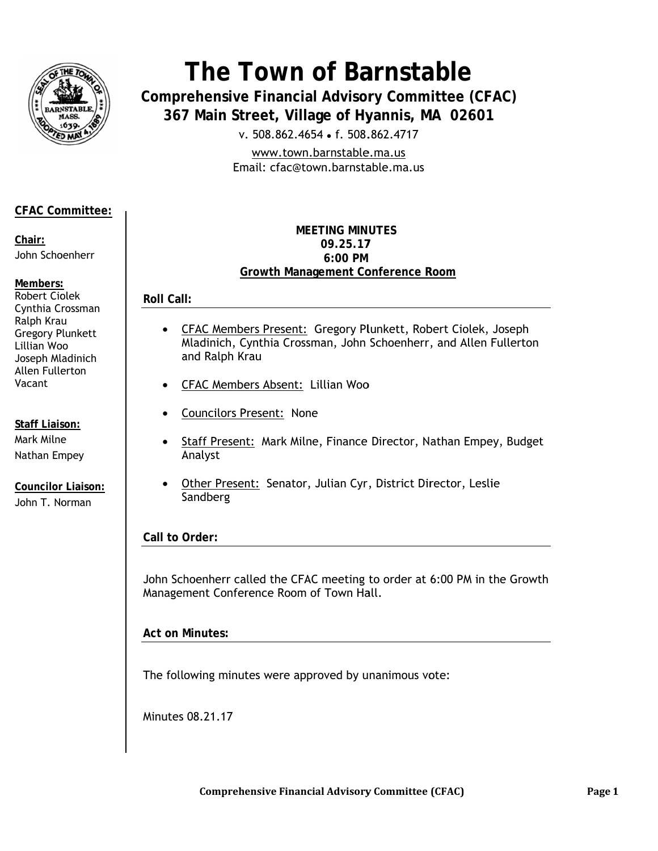

# The Town of Barnstable

**Comprehensive Financial Advisory Committee (CFAC)** 367 Main Street, Village of Hyannis, MA 02601

v. 508.862.4654 • f. 508.862.4717

www.town.barnstable.ma.us Email: cfac@town.barnstable.ma.us

# **CFAC Committee:**

Chair: John Schoenherr

Members: Robert Ciolek Cynthia Crossman Ralph Krau **Gregory Plunkett** Lillian Woo Joseph Mladinich Allen Fullerton Vacant

**Staff Liaison:** Mark Milne Nathan Empey

**Councilor Liaison:** John T. Norman

## **MEFTING MINUTES** 09.25.17 6:00 PM **Growth Management Conference Room**

**Roll Call:** 

- $\bullet$ **CFAC Members Present: Gregory Plunkett, Robert Ciolek, Joseph** Mladinich, Cynthia Crossman, John Schoenherr, and Allen Fullerton and Ralph Krau
- CFAC Members Absent: Lillian Woo
- **Councilors Present: None**  $\bullet$
- Staff Present: Mark Milne, Finance Director, Nathan Empey, Budget Analyst
- Other Present: Senator, Julian Cyr, District Director, Leslie  $\bullet$ Sandberg

Call to Order:

John Schoenherr called the CFAC meeting to order at 6:00 PM in the Growth Management Conference Room of Town Hall.

**Act on Minutes:** 

The following minutes were approved by unanimous vote:

Minutes 08.21.17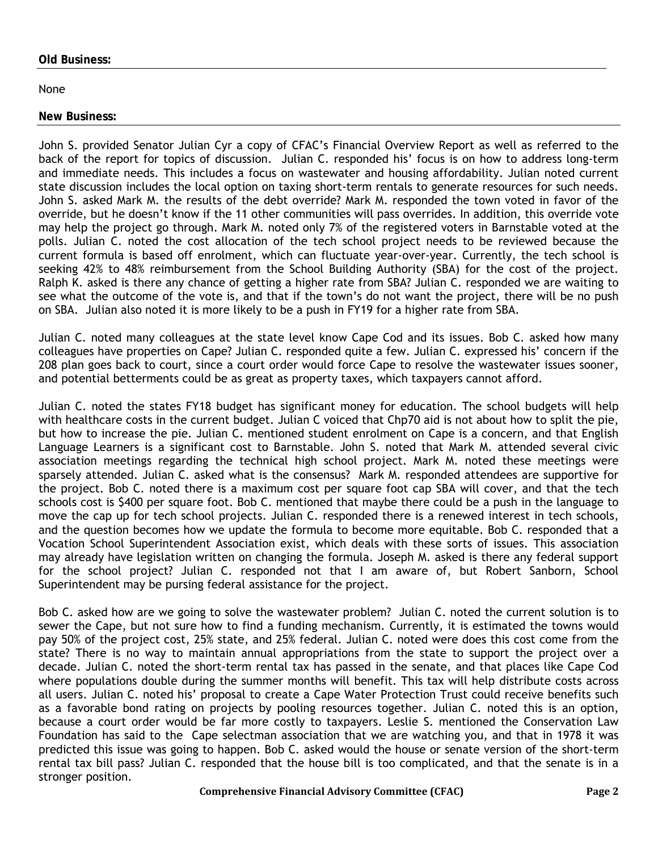#### **Old Business:**

#### None

# **New Business:**

John S. provided Senator Julian Cyr a copy of CFAC's Financial Overview Report as well as referred to the back of the report for topics of discussion. Julian C. responded his' focus is on how to address long-term and immediate needs. This includes a focus on wastewater and housing affordability. Julian noted current state discussion includes the local option on taxing short-term rentals to generate resources for such needs. John S. asked Mark M. the results of the debt override? Mark M. responded the town voted in favor of the override, but he doesn't know if the 11 other communities will pass overrides. In addition, this override vote may help the project go through. Mark M. noted only 7% of the registered voters in Barnstable voted at the polls. Julian C. noted the cost allocation of the tech school project needs to be reviewed because the current formula is based off enrolment, which can fluctuate year-over-year. Currently, the tech school is seeking 42% to 48% reimbursement from the School Building Authority (SBA) for the cost of the project. Ralph K. asked is there any chance of getting a higher rate from SBA? Julian C. responded we are waiting to see what the outcome of the vote is, and that if the town's do not want the project, there will be no push on SBA. Julian also noted it is more likely to be a push in FY19 for a higher rate from SBA.

Julian C. noted many colleagues at the state level know Cape Cod and its issues. Bob C. asked how many colleagues have properties on Cape? Julian C. responded quite a few. Julian C. expressed his' concern if the 208 plan goes back to court, since a court order would force Cape to resolve the wastewater issues sooner, and potential betterments could be as great as property taxes, which taxpayers cannot afford.

Julian C. noted the states FY18 budget has significant money for education. The school budgets will help with healthcare costs in the current budget. Julian C voiced that Chp70 aid is not about how to split the pie, but how to increase the pie. Julian C. mentioned student enrolment on Cape is a concern, and that English Language Learners is a significant cost to Barnstable. John S. noted that Mark M. attended several civic association meetings regarding the technical high school project. Mark M. noted these meetings were sparsely attended. Julian C. asked what is the consensus? Mark M. responded attendees are supportive for the project. Bob C. noted there is a maximum cost per square foot cap SBA will cover, and that the tech schools cost is \$400 per square foot. Bob C. mentioned that maybe there could be a push in the language to move the cap up for tech school projects. Julian C. responded there is a renewed interest in tech schools, and the question becomes how we update the formula to become more equitable. Bob C. responded that a Vocation School Superintendent Association exist, which deals with these sorts of issues. This association may already have legislation written on changing the formula. Joseph M. asked is there any federal support for the school project? Julian C. responded not that I am aware of, but Robert Sanborn, School Superintendent may be pursing federal assistance for the project.

Bob C. asked how are we going to solve the wastewater problem? Julian C. noted the current solution is to sewer the Cape, but not sure how to find a funding mechanism. Currently, it is estimated the towns would pay 50% of the project cost, 25% state, and 25% federal. Julian C. noted were does this cost come from the state? There is no way to maintain annual appropriations from the state to support the project over a decade. Julian C. noted the short-term rental tax has passed in the senate, and that places like Cape Cod where populations double during the summer months will benefit. This tax will help distribute costs across all users. Julian C. noted his' proposal to create a Cape Water Protection Trust could receive benefits such as a favorable bond rating on projects by pooling resources together. Julian C. noted this is an option, because a court order would be far more costly to taxpayers. Leslie S. mentioned the Conservation Law Foundation has said to the Cape selectman association that we are watching you, and that in 1978 it was predicted this issue was going to happen. Bob C. asked would the house or senate version of the short-term rental tax bill pass? Julian C. responded that the house bill is too complicated, and that the senate is in a stronger position.